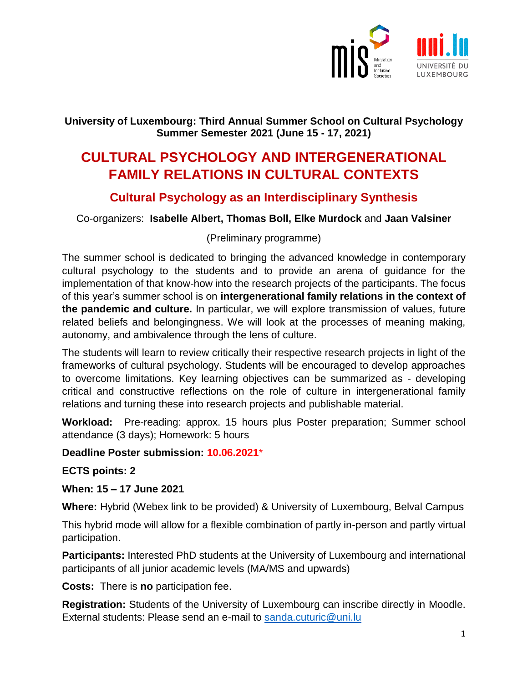

### **University of Luxembourg: Third Annual Summer School on Cultural Psychology Summer Semester 2021 (June 15 - 17, 2021)**

## **CULTURAL PSYCHOLOGY AND INTERGENERATIONAL FAMILY RELATIONS IN CULTURAL CONTEXTS**

### **Cultural Psychology as an Interdisciplinary Synthesis**

Co-organizers: **Isabelle Albert, Thomas Boll, Elke Murdock** and **Jaan Valsiner**

### (Preliminary programme)

The summer school is dedicated to bringing the advanced knowledge in contemporary cultural psychology to the students and to provide an arena of guidance for the implementation of that know-how into the research projects of the participants. The focus of this year's summer school is on **intergenerational family relations in the context of the pandemic and culture.** In particular, we will explore transmission of values, future related beliefs and belongingness. We will look at the processes of meaning making, autonomy, and ambivalence through the lens of culture.

The students will learn to review critically their respective research projects in light of the frameworks of cultural psychology. Students will be encouraged to develop approaches to overcome limitations. Key learning objectives can be summarized as - developing critical and constructive reflections on the role of culture in intergenerational family relations and turning these into research projects and publishable material.

**Workload:** Pre-reading: approx. 15 hours plus Poster preparation; Summer school attendance (3 days); Homework: 5 hours

**Deadline Poster submission: 10.06.2021**\*

**ECTS points: 2**

**When: 15 – 17 June 2021**

**Where:** Hybrid (Webex link to be provided) & University of Luxembourg, Belval Campus

This hybrid mode will allow for a flexible combination of partly in-person and partly virtual participation.

**Participants:** Interested PhD students at the University of Luxembourg and international participants of all junior academic levels (MA/MS and upwards)

**Costs:** There is **no** participation fee.

**Registration:** Students of the University of Luxembourg can inscribe directly in Moodle. External students: Please send an e-mail to [sanda.cuturic@uni.lu](mailto:sanda.cuturic@uni.lu)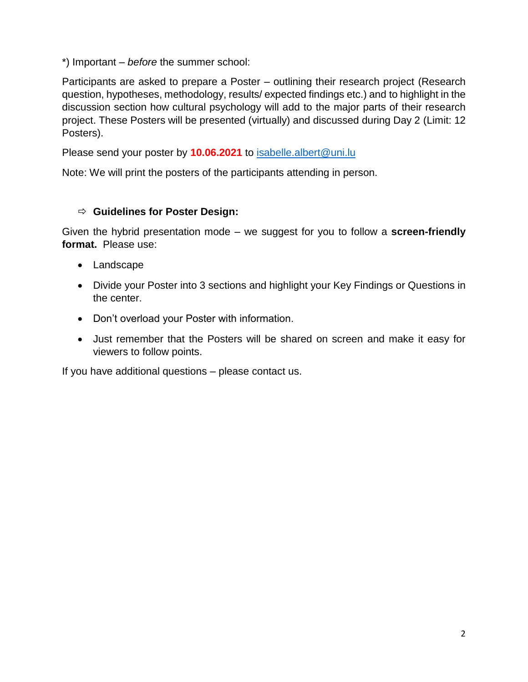\*) Important – *before* the summer school:

Participants are asked to prepare a Poster – outlining their research project (Research question, hypotheses, methodology, results/ expected findings etc.) and to highlight in the discussion section how cultural psychology will add to the major parts of their research project. These Posters will be presented (virtually) and discussed during Day 2 (Limit: 12 Posters).

Please send your poster by **10.06.2021** to **isabelle.albert@uni.lu** 

Note: We will print the posters of the participants attending in person.

#### **Guidelines for Poster Design:**

Given the hybrid presentation mode – we suggest for you to follow a **screen-friendly format.** Please use:

- Landscape
- Divide your Poster into 3 sections and highlight your Key Findings or Questions in the center.
- Don't overload your Poster with information.
- Just remember that the Posters will be shared on screen and make it easy for viewers to follow points.

If you have additional questions – please contact us.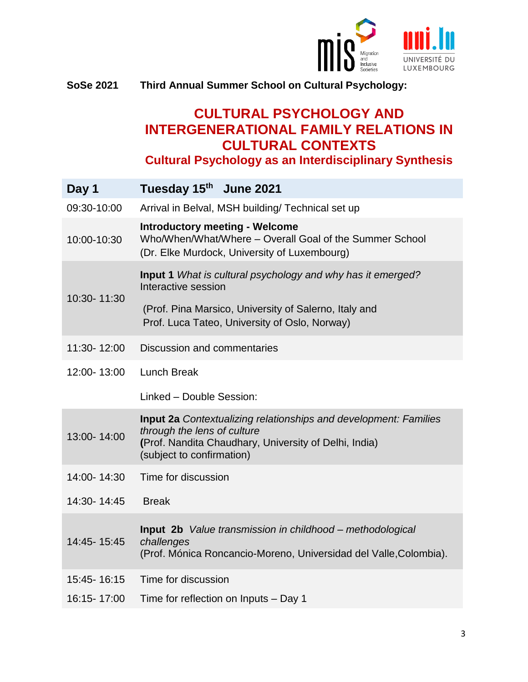

### **SoSe 2021 Third Annual Summer School on Cultural Psychology:**

# **CULTURAL PSYCHOLOGY AND INTERGENERATIONAL FAMILY RELATIONS IN CULTURAL CONTEXTS**

**Cultural Psychology as an Interdisciplinary Synthesis**

| Day 1       | Tuesday 15th June 2021                                                                                                                                                                       |
|-------------|----------------------------------------------------------------------------------------------------------------------------------------------------------------------------------------------|
| 09:30-10:00 | Arrival in Belval, MSH building/ Technical set up                                                                                                                                            |
| 10:00-10:30 | <b>Introductory meeting - Welcome</b><br>Who/When/What/Where - Overall Goal of the Summer School<br>(Dr. Elke Murdock, University of Luxembourg)                                             |
| 10:30-11:30 | Input 1 What is cultural psychology and why has it emerged?<br>Interactive session                                                                                                           |
|             | (Prof. Pina Marsico, University of Salerno, Italy and<br>Prof. Luca Tateo, University of Oslo, Norway)                                                                                       |
| 11:30-12:00 | Discussion and commentaries                                                                                                                                                                  |
| 12:00-13:00 | <b>Lunch Break</b>                                                                                                                                                                           |
|             | Linked - Double Session:                                                                                                                                                                     |
| 13:00-14:00 | <b>Input 2a</b> Contextualizing relationships and development: Families<br>through the lens of culture<br>(Prof. Nandita Chaudhary, University of Delhi, India)<br>(subject to confirmation) |
| 14:00-14:30 | Time for discussion                                                                                                                                                                          |
| 14:30-14:45 | <b>Break</b>                                                                                                                                                                                 |
| 14:45-15:45 | <b>Input 2b</b> Value transmission in childhood – methodological<br>challenges<br>(Prof. Mónica Roncancio-Moreno, Universidad del Valle, Colombia).                                          |
| 15:45-16:15 | Time for discussion                                                                                                                                                                          |
| 16:15-17:00 | Time for reflection on Inputs - Day 1                                                                                                                                                        |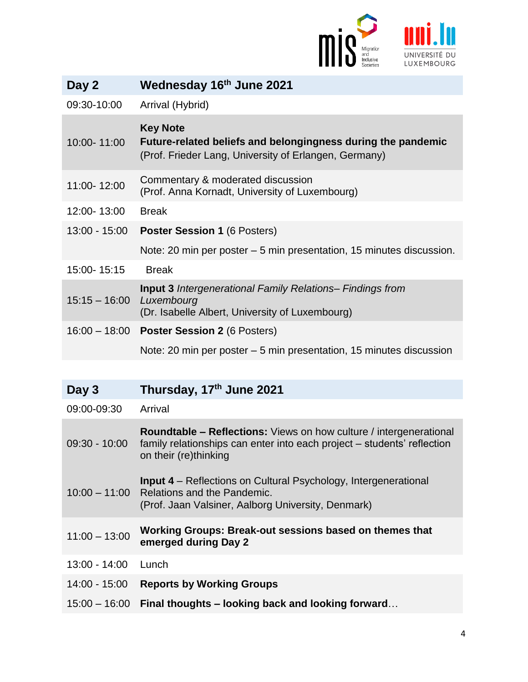

| Day 2           | Wednesday 16th June 2021                                                                                                                 |
|-----------------|------------------------------------------------------------------------------------------------------------------------------------------|
| 09:30-10:00     | Arrival (Hybrid)                                                                                                                         |
| 10:00-11:00     | <b>Key Note</b><br>Future-related beliefs and belongingness during the pandemic<br>(Prof. Frieder Lang, University of Erlangen, Germany) |
| 11:00-12:00     | Commentary & moderated discussion<br>(Prof. Anna Kornadt, University of Luxembourg)                                                      |
| 12:00-13:00     | <b>Break</b>                                                                                                                             |
| $13:00 - 15:00$ | <b>Poster Session 1 (6 Posters)</b>                                                                                                      |
|                 | Note: 20 min per poster – 5 min presentation, 15 minutes discussion.                                                                     |
| 15:00-15:15     | <b>Break</b>                                                                                                                             |
| $15:15 - 16:00$ | <b>Input 3</b> Intergenerational Family Relations– Findings from<br>Luxembourg<br>(Dr. Isabelle Albert, University of Luxembourg)        |
| $16:00 - 18:00$ | <b>Poster Session 2 (6 Posters)</b>                                                                                                      |
|                 | Note: 20 min per poster – 5 min presentation, 15 minutes discussion                                                                      |

| Day 3           | Thursday, 17th June 2021                                                                                                                                                      |
|-----------------|-------------------------------------------------------------------------------------------------------------------------------------------------------------------------------|
| 09:00-09:30     | Arrival                                                                                                                                                                       |
| $09:30 - 10:00$ | <b>Roundtable – Reflections:</b> Views on how culture / intergenerational<br>family relationships can enter into each project – students' reflection<br>on their (re)thinking |
|                 | <b>Input 4</b> – Reflections on Cultural Psychology, Intergenerational<br>10:00 - 11:00 Relations and the Pandemic.<br>(Prof. Jaan Valsiner, Aalborg University, Denmark)     |
| $11:00 - 13:00$ | Working Groups: Break-out sessions based on themes that<br>emerged during Day 2                                                                                               |
| $13:00 - 14:00$ | Lunch                                                                                                                                                                         |
| 14:00 - 15:00   | <b>Reports by Working Groups</b>                                                                                                                                              |
| $15:00 - 16:00$ | Final thoughts – looking back and looking forward                                                                                                                             |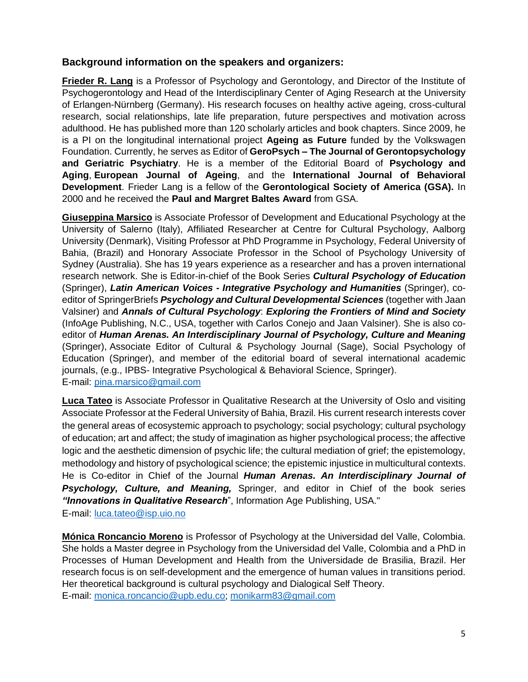#### **Background information on the speakers and organizers:**

**Frieder R. Lang** is a Professor of Psychology and Gerontology, and Director of the Institute of Psychogerontology and Head of the Interdisciplinary Center of Aging Research at the University of Erlangen-Nürnberg (Germany). His research focuses on healthy active ageing, cross-cultural research, social relationships, late life preparation, future perspectives and motivation across adulthood. He has published more than 120 scholarly articles and book chapters. Since 2009, he is a PI on the longitudinal international project **Ageing as Future** funded by the Volkswagen Foundation. Currently, he serves as Editor of **GeroPsych – The Journal of Gerontopsychology and Geriatric Psychiatry**. He is a member of the Editorial Board of **Psychology and Aging**, **European Journal of Ageing**, and the **International Journal of Behavioral Development**. Frieder Lang is a fellow of the **Gerontological Society of America (GSA).** In 2000 and he received the **Paul and Margret Baltes Award** from GSA.

**Giuseppina Marsico** is Associate Professor of Development and Educational Psychology at the University of Salerno (Italy), Affiliated Researcher at Centre for Cultural Psychology, Aalborg University (Denmark), Visiting Professor at PhD Programme in Psychology, Federal University of Bahia, (Brazil) and Honorary Associate Professor in the School of Psychology University of Sydney (Australia). She has 19 years experience as a researcher and has a proven international research network. She is Editor-in-chief of the Book Series *Cultural Psychology of Education* (Springer), *Latin American Voices - Integrative Psychology and Humanities* (Springer), coeditor of SpringerBriefs *Psychology and Cultural Developmental Sciences* (together with Jaan Valsiner) and *Annals of Cultural Psychology*: *Exploring the Frontiers of Mind and Society* (InfoAge Publishing, N.C., USA, together with Carlos Conejo and Jaan Valsiner). She is also coeditor of *Human Arenas. An Interdisciplinary Journal of Psychology, Culture and Meaning* (Springer), Associate Editor of Cultural & Psychology Journal (Sage), Social Psychology of Education (Springer), and member of the editorial board of several international academic journals, (e.g., IPBS- Integrative Psychological & Behavioral Science, Springer). E-mail: [pina.marsico@gmail.com](mailto:pina.marsico@gmail.com)

**Luca Tateo** is Associate Professor in Qualitative Research at the University of Oslo and visiting Associate Professor at the Federal University of Bahia, Brazil. His current research interests cover the general areas of ecosystemic approach to psychology; social psychology; cultural psychology of education; art and affect; the study of imagination as higher psychological process; the affective logic and the aesthetic dimension of psychic life; the cultural mediation of grief; the epistemology, methodology and history of psychological science; the epistemic injustice in multicultural contexts. He is Co-editor in Chief of the Journal *Human Arenas. An Interdisciplinary Journal of Psychology, Culture, and Meaning,* Springer, and editor in Chief of the book series *"Innovations in Qualitative Research*", Information Age Publishing, USA." E-mail: [luca.tateo@isp.uio.no](mailto:luca.tateo@isp.uio.no)

**Mónica Roncancio Moreno** is Professor of Psychology at the Universidad del Valle, Colombia. She holds a Master degree in Psychology from the Universidad del Valle, Colombia and a PhD in Processes of Human Development and Health from the Universidade de Brasilia, Brazil. Her research focus is on self-development and the emergence of human values in transitions period. Her theoretical background is cultural psychology and Dialogical Self Theory. E-mail: [monica.roncancio@upb.edu.co;](mailto:monica.roncancio@upb.edu.co) [monikarm83@gmail.com](mailto:monikarm83@gmail.com)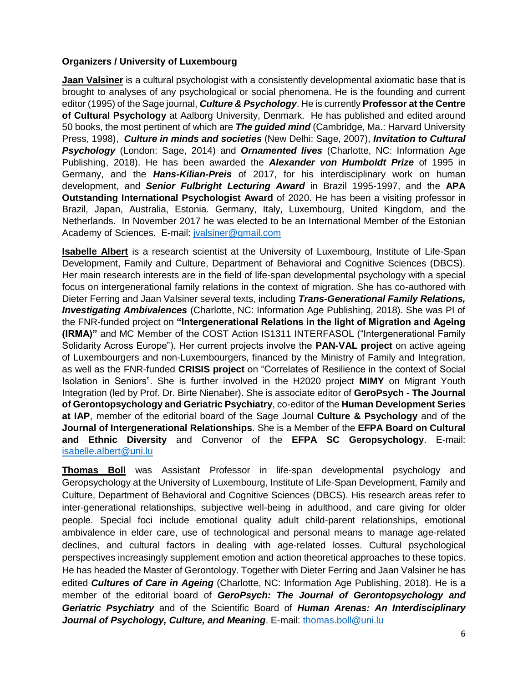#### **Organizers / University of Luxembourg**

**Jaan Valsiner** is a cultural psychologist with a consistently developmental axiomatic base that is brought to analyses of any psychological or social phenomena. He is the founding and current editor (1995) of the Sage journal, *Culture & Psychology*. He is currently **Professor at the Centre of Cultural Psychology** at Aalborg University, Denmark. He has published and edited around 50 books, the most pertinent of which are *The guided mind* (Cambridge, Ma.: Harvard University Press, 1998), *Culture in minds and societies* (New Delhi: Sage, 2007), *Invitation to Cultural Psychology* (London: Sage, 2014) and *Ornamented lives* (Charlotte, NC: Information Age Publishing, 2018). He has been awarded the *Alexander von Humboldt Prize* of 1995 in Germany, and the *Hans-Kilian-Preis* of 2017, for his interdisciplinary work on human development, and *Senior Fulbright Lecturing Award* in Brazil 1995-1997, and the **APA Outstanding International Psychologist Award** of 2020. He has been a visiting professor in Brazil, Japan, Australia, Estonia. Germany, Italy, Luxembourg, United Kingdom, and the Netherlands. In November 2017 he was elected to be an International Member of the Estonian Academy of Sciences. E-mail: [jvalsiner@gmail.com](mailto:jvalsiner@gmail.com)

**Isabelle Albert** is a research scientist at the University of Luxembourg, Institute of Life-Span Development, Family and Culture, Department of Behavioral and Cognitive Sciences (DBCS). Her main research interests are in the field of life-span developmental psychology with a special focus on intergenerational family relations in the context of migration. She has co-authored with Dieter Ferring and Jaan Valsiner several texts, including *Trans-Generational Family Relations, Investigating Ambivalences* (Charlotte, NC: Information Age Publishing, 2018). She was PI of the FNR-funded project on **"Intergenerational Relations in the light of Migration and Ageing (IRMA)"** and MC Member of the COST Action IS1311 INTERFASOL ("Intergenerational Family Solidarity Across Europe"). Her current projects involve the **PAN-VAL project** on active ageing of Luxembourgers and non-Luxembourgers, financed by the Ministry of Family and Integration, as well as the FNR-funded **CRISIS project** on "Correlates of Resilience in the context of Social Isolation in Seniors". She is further involved in the H2020 project **MIMY** on Migrant Youth Integration (led by Prof. Dr. Birte Nienaber). She is associate editor of **GeroPsych - The Journal of Gerontopsychology and Geriatric Psychiatry**, co-editor of the **Human Development Series at IAP**, member of the editorial board of the Sage Journal **Culture & Psychology** and of the **Journal of Intergenerational Relationships**. She is a Member of the **EFPA Board on Cultural and Ethnic Diversity** and Convenor of the **EFPA SC Geropsychology**. E-mail: [isabelle.albert@uni.lu](mailto:isabelle.albert@uni.lu)

**Thomas Boll** was Assistant Professor in life-span developmental psychology and Geropsychology at the University of Luxembourg, Institute of Life-Span Development, Family and Culture, Department of Behavioral and Cognitive Sciences (DBCS). His research areas refer to inter-generational relationships, subjective well-being in adulthood, and care giving for older people. Special foci include emotional quality adult child-parent relationships, emotional ambivalence in elder care, use of technological and personal means to manage age-related declines, and cultural factors in dealing with age-related losses. Cultural psychological perspectives increasingly supplement emotion and action theoretical approaches to these topics. He has headed the Master of Gerontology. Together with Dieter Ferring and Jaan Valsiner he has edited *Cultures of Care in Ageing* (Charlotte, NC: Information Age Publishing, 2018). He is a member of the editorial board of *GeroPsych: The Journal of Gerontopsychology and Geriatric Psychiatry* and of the Scientific Board of *Human Arenas: An Interdisciplinary*  Journal of Psychology, Culture, and Meaning. E-mail: [thomas.boll@uni.lu](mailto:thomas.boll@uni.lu)